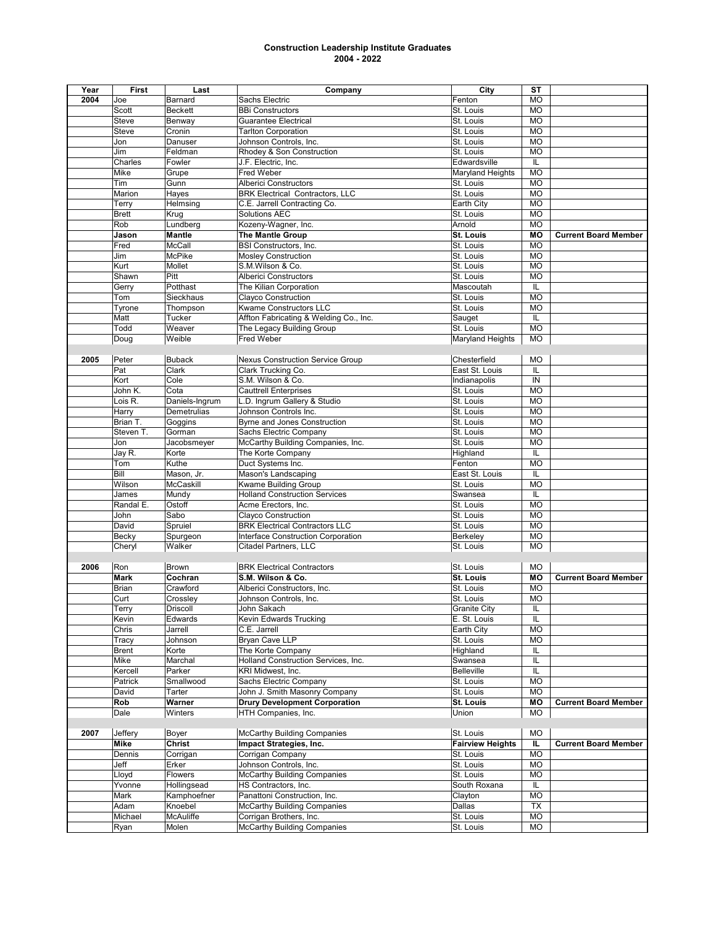| Year | First        | Last             | Company                                 | City                    | <b>ST</b>               |                             |
|------|--------------|------------------|-----------------------------------------|-------------------------|-------------------------|-----------------------------|
| 2004 | Joe          | Barnard          | Sachs Electric                          | Fenton                  | <b>MO</b>               |                             |
|      | Scott        | <b>Beckett</b>   | <b>BBi Constructors</b>                 | St. Louis               | <b>MO</b>               |                             |
|      | Steve        | Benway           | <b>Guarantee Electrical</b>             | St. Louis               | <b>MO</b>               |                             |
|      | <b>Steve</b> |                  |                                         |                         | <b>MO</b>               |                             |
|      |              | Cronin           | <b>Tarlton Corporation</b>              | St. Louis               |                         |                             |
|      | Jon          | Danuser          | Johnson Controls, Inc.                  | St. Louis               | <b>MO</b>               |                             |
|      | Jim          | Feldman          | Rhodey & Son Construction               | St. Louis               | <b>MO</b>               |                             |
|      | Charles      | Fowler           | J.F. Electric, Inc.                     | Edwardsville            | IL                      |                             |
|      | Mike         | Grupe            | Fred Weber                              | Maryland Heights        | <b>MO</b>               |                             |
|      | Tim          | Gunn             | <b>Alberici Constructors</b>            | St. Louis               | <b>MO</b>               |                             |
|      | Marion       | Hayes            | <b>BRK Electrical Contractors, LLC</b>  | St. Louis               | <b>MO</b>               |                             |
|      | Terry        | Helmsing         | C.E. Jarrell Contracting Co.            | Earth City              | <b>MO</b>               |                             |
|      | <b>Brett</b> | Krug             | <b>Solutions AEC</b>                    | St. Louis               | <b>MO</b>               |                             |
|      |              |                  |                                         |                         |                         |                             |
|      | Rob          | Lundberg         | Kozeny-Wagner, Inc.                     | Arnold                  | <b>MO</b>               |                             |
|      | Jason        | <b>Mantle</b>    | <b>The Mantle Group</b>                 | St. Louis               | MО                      | <b>Current Board Member</b> |
|      | Fred         | McCall           | <b>BSI Constructors, Inc.</b>           | St. Louis               | <b>MO</b>               |                             |
|      | Jim          | McPike           | <b>Mosley Construction</b>              | St. Louis               | <b>MO</b>               |                             |
|      | Kurt         | Mollet           | S.M.Wilson & Co.                        | St. Louis               | <b>MO</b>               |                             |
|      | Shawn        | Pitt             | <b>Alberici Constructors</b>            | St. Louis               | <b>MO</b>               |                             |
|      | Gerry        | Potthast         | The Kilian Corporation                  | Mascoutah               | IL                      |                             |
|      | Tom          | Sieckhaus        | Clayco Construction                     | St. Louis               | <b>MO</b>               |                             |
|      | Tyrone       | Thompson         | Kwame Constructors LLC                  | St. Louis               | <b>MO</b>               |                             |
|      | Matt         | Tucker           | Affton Fabricating & Welding Co., Inc.  | Sauget                  | IL                      |                             |
|      |              |                  |                                         |                         |                         |                             |
|      | Todd         | Weaver           | The Legacy Building Group               | St. Louis               | <b>MO</b>               |                             |
|      | Doug         | Weible           | Fred Weber                              | Maryland Heights        | <b>MO</b>               |                             |
|      |              |                  |                                         |                         |                         |                             |
| 2005 | Peter        | <b>Buback</b>    | <b>Nexus Construction Service Group</b> | Chesterfield            | <b>MO</b>               |                             |
|      | Pat          | Clark            | Clark Trucking Co.                      | East St. Louis          | IL                      |                             |
|      | Kort         | Cole             | S.M. Wilson & Co.                       | Indianapolis            | IN                      |                             |
|      | John K.      | Cota             | <b>Cauttrell Enterprises</b>            | St. Louis               | <b>MO</b>               |                             |
|      | Lois R.      | Daniels-Ingrum   | L.D. Ingrum Gallery & Studio            | St. Louis               | <b>MO</b>               |                             |
|      | Harry        | Demetrulias      | Johnson Controls Inc.                   | St. Louis               | <b>MO</b>               |                             |
|      |              |                  | <b>Byrne and Jones Construction</b>     | St. Louis               |                         |                             |
|      | Brian T.     | Goggins          |                                         |                         | <b>MO</b>               |                             |
|      | Steven T.    | Gorman           | Sachs Electric Company                  | St. Louis               | <b>MO</b>               |                             |
|      | Jon          | Jacobsmeyer      | McCarthy Building Companies, Inc.       | St. Louis               | MO                      |                             |
|      | Jay R.       | Korte            | The Korte Company                       | Highland                | IL                      |                             |
|      | Tom          | Kuthe            | Duct Systems Inc.                       | Fenton                  | <b>MO</b>               |                             |
|      | Bill         | Mason, Jr.       | Mason's Landscaping                     | East St. Louis          | IL                      |                             |
|      | Wilson       | McCaskill        | Kwame Building Group                    | St. Louis               | <b>MO</b>               |                             |
|      | James        | Mundy            | <b>Holland Construction Services</b>    | Swansea                 | IL                      |                             |
|      | Randal E.    | Ostoff           | Acme Erectors, Inc.                     | St. Louis               | <b>MO</b>               |                             |
|      | John         | Sabo             | Clayco Construction                     | St. Louis               | <b>MO</b>               |                             |
|      | David        | Spruiel          | <b>BRK Electrical Contractors LLC</b>   | St. Louis               | <b>MO</b>               |                             |
|      |              |                  |                                         |                         |                         |                             |
|      | Becky        | Spurgeon         | Interface Construction Corporation      | Berkeley                | <b>MO</b>               |                             |
|      | Cheryl       | Walker           | Citadel Partners, LLC                   | St. Louis               | <b>MO</b>               |                             |
|      |              |                  |                                         |                         |                         |                             |
| 2006 | Ron          | <b>Brown</b>     | <b>BRK Electrical Contractors</b>       | St. Louis               | <b>MO</b>               |                             |
|      | <b>Mark</b>  | Cochran          | S.M. Wilson & Co.                       | <b>St. Louis</b>        | MО                      | <b>Current Board Member</b> |
|      | Brian        | Crawford         | Alberici Constructors, Inc.             | St. Louis               | <b>MO</b>               |                             |
|      | Curt         | Crossley         | Johnson Controls, Inc.                  | St. Louis               | <b>MO</b>               |                             |
|      | Terry        | <b>Driscoll</b>  | John Sakach                             | <b>Granite City</b>     | $\overline{\mathsf{L}}$ |                             |
|      | Kevin        | Edwards          | Kevin Edwards Trucking                  | E. St. Louis            | IL                      |                             |
|      | Chris        | Jarrell          | C.E. Jarrell                            | Earth City              | <b>MO</b>               |                             |
|      | Tracy        | Johnson          | Bryan Cave LLP                          | St. Louis               | <b>MO</b>               |                             |
|      |              |                  |                                         |                         |                         |                             |
|      | <b>Brent</b> | Korte            | The Korte Company                       | Highland                | IL                      |                             |
|      | Mike         | Marchal          | Holland Construction Services, Inc.     | Swansea                 | IL                      |                             |
|      | Kercell      | Parker           | KRI Midwest, Inc.                       | <b>Belleville</b>       | IL                      |                             |
|      | Patrick      | Smallwood        | Sachs Electric Company                  | St. Louis               | <b>MO</b>               |                             |
|      | David        | Tarter           | John J. Smith Masonry Company           | St. Louis               | <b>MO</b>               |                             |
|      | Rob          | Warner           | <b>Drury Development Corporation</b>    | St. Louis               | ΜO                      | <b>Current Board Member</b> |
|      | Dale         | Winters          | HTH Companies, Inc.                     | Union                   | MO                      |                             |
|      |              |                  |                                         |                         |                         |                             |
| 2007 | Jeffery      | Boyer            | <b>McCarthy Building Companies</b>      | St. Louis               | <b>MO</b>               |                             |
|      | Mike         | Christ           | Impact Strategies, Inc.                 | <b>Fairview Heights</b> | IL.                     | <b>Current Board Member</b> |
|      |              |                  |                                         |                         |                         |                             |
|      | Dennis       | Corrigan         | Corrigan Company                        | St. Louis               | <b>MO</b>               |                             |
|      | Jeff         | Erker            | Johnson Controls, Inc.                  | St. Louis               | <b>MO</b>               |                             |
|      | Lloyd        | <b>Flowers</b>   | <b>McCarthy Building Companies</b>      | St. Louis               | MO                      |                             |
|      | Yvonne       | Hollingsead      | HS Contractors, Inc.                    | South Roxana            | IL                      |                             |
|      | Mark         | Kamphoefner      | Panattoni Construction, Inc.            | Clayton                 | <b>MO</b>               |                             |
|      | Adam         | Knoebel          | <b>McCarthy Building Companies</b>      | Dallas                  | <b>TX</b>               |                             |
|      | Michael      | <b>McAuliffe</b> | Corrigan Brothers, Inc.                 | St. Louis               | <b>MO</b>               |                             |
|      | Ryan         | Molen            | <b>McCarthy Building Companies</b>      | St. Louis               | MO                      |                             |
|      |              |                  |                                         |                         |                         |                             |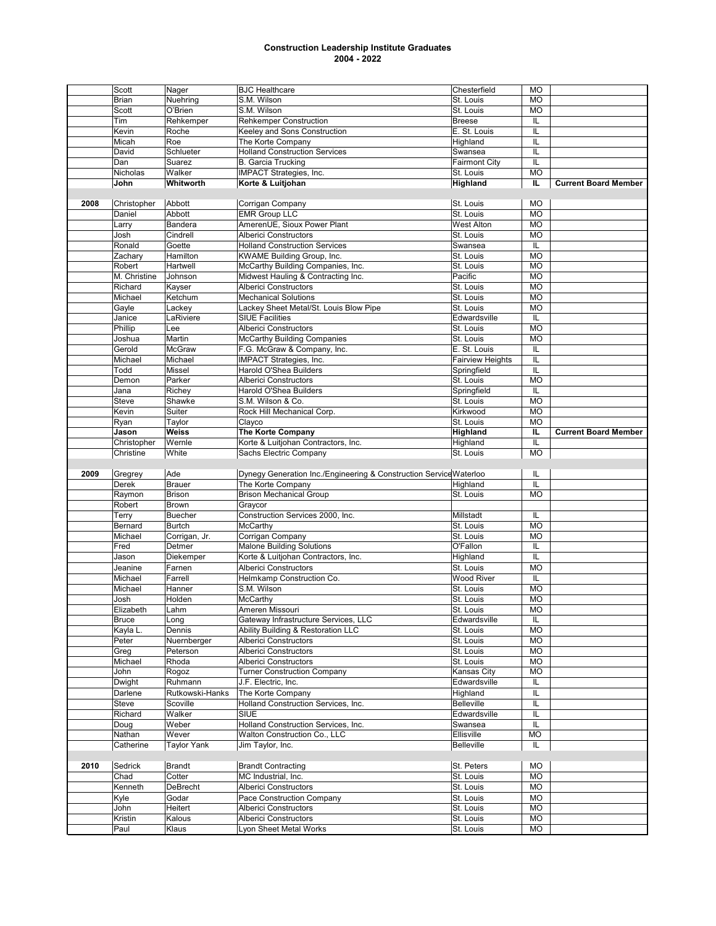|      | Scott           | Nager              | <b>BJC</b> Healthcare                                              | Chesterfield            | <b>MO</b> |                             |
|------|-----------------|--------------------|--------------------------------------------------------------------|-------------------------|-----------|-----------------------------|
|      | <b>Brian</b>    | Nuehring           | S.M. Wilson                                                        | St. Louis               | <b>MO</b> |                             |
|      | Scott           | O'Brien            | S.M. Wilson                                                        | St. Louis               | <b>MO</b> |                             |
|      | Tim             | Rehkemper          | <b>Rehkemper Construction</b>                                      | <b>Breese</b>           | IL        |                             |
|      | Kevin           | Roche              | Keeley and Sons Construction                                       | E. St. Louis            | IL        |                             |
|      | Micah           | Roe                | The Korte Company                                                  | Highland                | IL        |                             |
|      | David           | Schlueter          | <b>Holland Construction Services</b>                               | Swansea                 | IL        |                             |
|      | Dan             | Suarez             | <b>B.</b> Garcia Trucking                                          | <b>Fairmont City</b>    | IL        |                             |
|      | Nicholas        | Walker             | IMPACT Strategies, Inc.                                            | St. Louis               | <b>MO</b> |                             |
|      | John            | Whitworth          | Korte & Luitjohan                                                  | Highland                | IL.       | <b>Current Board Member</b> |
|      |                 |                    |                                                                    |                         |           |                             |
|      |                 |                    |                                                                    |                         |           |                             |
| 2008 | Christopher     | Abbott             | Corrigan Company                                                   | St. Louis               | <b>MO</b> |                             |
|      | Daniel          | Abbott             | <b>EMR Group LLC</b>                                               | St. Louis               | <b>MO</b> |                             |
|      | Larry           | Bandera            | AmerenUE, Sioux Power Plant                                        | <b>West Alton</b>       | <b>MO</b> |                             |
|      | Josh            | Cindrell           | <b>Alberici Constructors</b>                                       | St. Louis               | <b>MO</b> |                             |
|      | Ronald          | Goette             | <b>Holland Construction Services</b>                               | Swansea                 | IL        |                             |
|      | Zachary         | Hamilton           | KWAME Building Group, Inc.                                         | St. Louis               | <b>MO</b> |                             |
|      | Robert          | Hartwell           | McCarthy Building Companies, Inc.                                  | St. Louis               | <b>MO</b> |                             |
|      | M. Christine    | Johnson            | Midwest Hauling & Contracting Inc.                                 | Pacific                 | <b>MO</b> |                             |
|      | Richard         | Kayser             | <b>Alberici Constructors</b>                                       | St. Louis               | <b>MO</b> |                             |
|      | Michael         | Ketchum            | <b>Mechanical Solutions</b>                                        | St. Louis               | <b>MO</b> |                             |
|      | Gayle           | Lackey             | Lackey Sheet Metal/St. Louis Blow Pipe                             | St. Louis               | <b>MO</b> |                             |
|      | Janice          | LaRiviere          | <b>SIUE Facilities</b>                                             | Edwardsville            | IL        |                             |
|      | Phillip         | Lee                | <b>Alberici Constructors</b>                                       | St. Louis               | <b>MO</b> |                             |
|      | Joshua          | Martin             | <b>McCarthy Building Companies</b>                                 | St. Louis               | <b>MO</b> |                             |
|      | Gerold          | <b>McGraw</b>      | F.G. McGraw & Company, Inc.                                        | E. St. Louis            | IL        |                             |
|      | Michael         | Michael            | IMPACT Strategies, Inc.                                            | <b>Fairview Heights</b> | IL        |                             |
|      | Todd            | Missel             | <b>Harold O'Shea Builders</b>                                      | Springfield             | IL        |                             |
|      | Demon           | Parker             | <b>Alberici Constructors</b>                                       | St. Louis               | <b>MO</b> |                             |
|      |                 |                    |                                                                    |                         |           |                             |
|      | Jana            | Richey             | Harold O'Shea Builders                                             | Springfield             | IL        |                             |
|      | Steve           | Shawke             | S.M. Wilson & Co.                                                  | St. Louis               | <b>MO</b> |                             |
|      | Kevin           | Suiter             | Rock Hill Mechanical Corp.                                         | Kirkwood                | <b>MO</b> |                             |
|      | Ryan            | Taylor             | Clayco                                                             | St. Louis               | <b>MO</b> |                             |
|      | Jason           | <b>Weiss</b>       | <b>The Korte Company</b>                                           | Highland                | IL.       | <b>Current Board Member</b> |
|      | Christopher     | Wernle             | Korte & Luitjohan Contractors, Inc.                                | Highland                | IL        |                             |
|      | Christine       | White              | Sachs Electric Company                                             | St. Louis               | <b>MO</b> |                             |
|      |                 |                    |                                                                    |                         |           |                             |
|      |                 |                    |                                                                    |                         |           |                             |
| 2009 | Gregrey         | Ade                | Dynegy Generation Inc./Engineering & Construction Service Waterloo |                         | IL        |                             |
|      | Derek           | <b>Brauer</b>      | The Korte Company                                                  | Highland                | IL        |                             |
|      | Raymon          | <b>Brison</b>      | <b>Brison Mechanical Group</b>                                     | St. Louis               | <b>MO</b> |                             |
|      | Robert          | <b>Brown</b>       | Graycor                                                            |                         |           |                             |
|      | Terry           | <b>Buecher</b>     | Construction Services 2000, Inc.                                   | Millstadt               | IL        |                             |
|      | Bernard         | <b>Burtch</b>      | McCarthy                                                           | St. Louis               | <b>MO</b> |                             |
|      | Michael         | Corrigan, Jr.      | Corrigan Company                                                   | St. Louis               | <b>MO</b> |                             |
|      | Fred            | Detmer             | <b>Malone Building Solutions</b>                                   | O'Fallon                | IL        |                             |
|      | Jason           | Diekemper          | Korte & Luitjohan Contractors, Inc.                                | Highland                | IL        |                             |
|      | Jeanine         | Farnen             | <b>Alberici Constructors</b>                                       | St. Louis               | <b>MO</b> |                             |
|      | Michael         | Farrell            | Helmkamp Construction Co.                                          | <b>Wood River</b>       | IL        |                             |
|      | Michael         | Hanner             |                                                                    | St. Louis               | <b>MO</b> |                             |
|      | Josh            | Holden             | S.M. Wilson<br>McCarthy                                            | St. Louis               | <b>MO</b> |                             |
|      |                 |                    |                                                                    |                         |           |                             |
|      | Elizabeth       | Lahm               | Ameren Missouri                                                    | St. Louis               | <b>MO</b> |                             |
|      | <b>Bruce</b>    | Long               | Gateway Infrastructure Services, LLC                               | Edwardsville            | IL        |                             |
|      | Kayla L.        | Dennis             | Ability Building & Restoration LLC                                 | St. Louis               | MO        |                             |
|      | Peter           | Nuernberger        | <b>Alberici Constructors</b>                                       | St. Louis               | MO        |                             |
|      | Greg            | Peterson           | <b>Alberici Constructors</b>                                       | St. Louis               | <b>MO</b> |                             |
|      | Michael         | Rhoda              | <b>Alberici Constructors</b>                                       | St. Louis               | MO        |                             |
|      | John            | Rogoz              | <b>Turner Construction Company</b>                                 | Kansas City             | MO        |                             |
|      | Dwight          | Ruhmann            | J.F. Electric, Inc.                                                | Edwardsville            | IL        |                             |
|      | Darlene         | Rutkowski-Hanks    | The Korte Company                                                  | Highland                | IL        |                             |
|      | Steve           | Scoville           | Holland Construction Services, Inc.                                | <b>Belleville</b>       | IL        |                             |
|      | Richard         | Walker             | SIUE                                                               | Edwardsville            | IL        |                             |
|      | Doug            | Weber              | Holland Construction Services, Inc.                                | Swansea                 | IL        |                             |
|      | Nathan          | Wever              | Walton Construction Co., LLC                                       | Ellisville              | <b>MO</b> |                             |
|      | Catherine       | <b>Taylor Yank</b> | Jim Taylor, Inc.                                                   | <b>Belleville</b>       | IL        |                             |
|      |                 |                    |                                                                    |                         |           |                             |
| 2010 | Sedrick         | <b>Brandt</b>      | <b>Brandt Contracting</b>                                          | St. Peters              | <b>MO</b> |                             |
|      | Chad            | Cotter             | MC Industrial, Inc.                                                | St. Louis               | <b>MO</b> |                             |
|      | Kenneth         | DeBrecht           | <b>Alberici Constructors</b>                                       | St. Louis               | МO        |                             |
|      | Kyle            | Godar              | Pace Construction Company                                          | St. Louis               | <b>MO</b> |                             |
|      |                 |                    |                                                                    |                         |           |                             |
|      | John            | Heitert            | <b>Alberici Constructors</b>                                       | St. Louis               | <b>MO</b> |                             |
|      | Kristin<br>Paul | Kalous<br>Klaus    | <b>Alberici Constructors</b><br>Lyon Sheet Metal Works             | St. Louis<br>St. Louis  | MO<br>МO  |                             |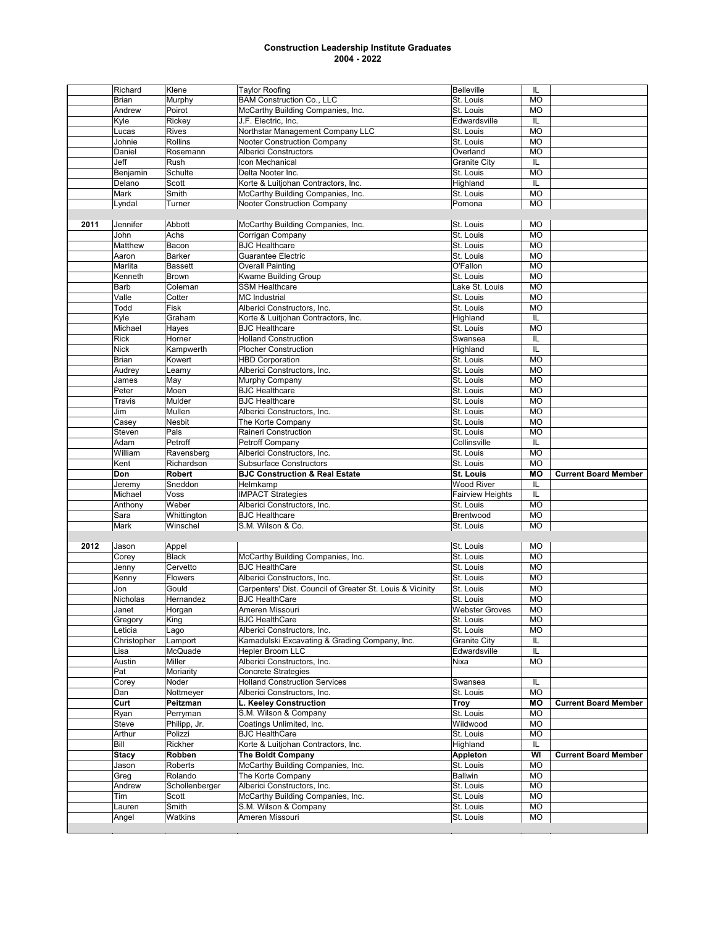|      | Richard      | Klene          | <b>Taylor Roofing</b>                                     | <b>Belleville</b>       | IL        |                             |
|------|--------------|----------------|-----------------------------------------------------------|-------------------------|-----------|-----------------------------|
|      | <b>Brian</b> | Murphy         | <b>BAM Construction Co., LLC</b>                          | St. Louis               | <b>MO</b> |                             |
|      | Andrew       | Poirot         | McCarthy Building Companies, Inc.                         | St. Louis               | <b>MO</b> |                             |
|      | Kyle         | Rickey         | J.F. Electric, Inc.                                       | Edwardsville            | IL        |                             |
|      | Lucas        | <b>Rives</b>   | Northstar Management Company LLC                          | St. Louis               | <b>MO</b> |                             |
|      | Johnie       | <b>Rollins</b> | <b>Nooter Construction Company</b>                        | St. Louis               | <b>MO</b> |                             |
|      | Daniel       | Rosemann       | <b>Alberici Constructors</b>                              | Overland                | <b>MO</b> |                             |
|      |              |                |                                                           |                         |           |                             |
|      | Jeff         | Rush           | Icon Mechanical                                           | <b>Granite City</b>     | IL        |                             |
|      | Benjamin     | Schulte        | Delta Nooter Inc.                                         | St. Louis               | <b>MO</b> |                             |
|      | Delano       | Scott          | Korte & Luitjohan Contractors, Inc.                       | Highland                | IL        |                             |
|      | Mark         | Smith          | McCarthy Building Companies, Inc.                         | St. Louis               | <b>MO</b> |                             |
|      | Lyndal       | Turner         | Nooter Construction Company                               | Pomona                  | <b>MO</b> |                             |
|      |              |                |                                                           |                         |           |                             |
| 2011 | Jennifer     | Abbott         | McCarthy Building Companies, Inc.                         | St. Louis               | <b>MO</b> |                             |
|      | John         | Achs           | Corrigan Company                                          | St. Louis               | <b>MO</b> |                             |
|      | Matthew      | Bacon          | <b>BJC Healthcare</b>                                     | St. Louis               | <b>MO</b> |                             |
|      |              |                |                                                           |                         |           |                             |
|      | Aaron        | Barker         | Guarantee Electric                                        | St. Louis               | <b>MO</b> |                             |
|      | Marlita      | <b>Bassett</b> | <b>Overall Painting</b>                                   | O'Fallon                | <b>MO</b> |                             |
|      | Kenneth      | <b>Brown</b>   | Kwame Building Group                                      | St. Louis               | <b>MO</b> |                             |
|      | Barb         | Coleman        | <b>SSM Healthcare</b>                                     | Lake St. Louis          | <b>MO</b> |                             |
|      | Valle        | Cotter         | <b>MC</b> Industrial                                      | St. Louis               | <b>MO</b> |                             |
|      | Todd         | Fisk           | Alberici Constructors, Inc.                               | St. Louis               | <b>MO</b> |                             |
|      | Kyle         | Graham         | Korte & Luitjohan Contractors, Inc.                       | Highland                | IL        |                             |
|      | Michael      | Hayes          | <b>BJC Healthcare</b>                                     | St. Louis               | <b>MO</b> |                             |
|      |              |                |                                                           |                         |           |                             |
|      | <b>Rick</b>  | Horner         | <b>Holland Construction</b>                               | Swansea                 | IL        |                             |
|      | <b>Nick</b>  | Kampwerth      | <b>Plocher Construction</b>                               | Highland                | IL        |                             |
|      | <b>Brian</b> | Kowert         | <b>HBD Corporation</b>                                    | St. Louis               | <b>MO</b> |                             |
|      | Audrey       | Leamy          | Alberici Constructors, Inc.                               | St. Louis               | <b>MO</b> |                             |
|      | James        | May            | Murphy Company                                            | St. Louis               | <b>MO</b> |                             |
|      | Peter        | Moen           | <b>BJC</b> Healthcare                                     | St. Louis               | <b>MO</b> |                             |
|      | Travis       | Mulder         | <b>BJC Healthcare</b>                                     | St. Louis               | <b>MO</b> |                             |
|      | Jim          | Mullen         | Alberici Constructors, Inc.                               | St. Louis               | <b>MO</b> |                             |
|      |              |                |                                                           |                         |           |                             |
|      | Casey        | Nesbit         | The Korte Company                                         | St. Louis               | <b>MO</b> |                             |
|      | Steven       | Pals           | Raineri Construction                                      | St. Louis               | <b>MO</b> |                             |
|      | Adam         | Petroff        | Petroff Company                                           | Collinsville            | IL        |                             |
|      |              |                |                                                           |                         |           |                             |
|      | William      | Ravensberg     | Alberici Constructors, Inc.                               | St. Louis               | <b>MO</b> |                             |
|      | Kent         |                | <b>Subsurface Constructors</b>                            | St. Louis               | <b>MO</b> |                             |
|      |              | Richardson     |                                                           |                         |           |                             |
|      | Don          | <b>Robert</b>  | <b>BJC Construction &amp; Real Estate</b>                 | St. Louis               | <b>MO</b> | <b>Current Board Member</b> |
|      | Jeremy       | Sneddon        | Helmkamp                                                  | <b>Wood River</b>       | IL        |                             |
|      | Michael      | Voss           | <b>IMPACT Strategies</b>                                  | <b>Fairview Heights</b> | IL        |                             |
|      | Anthony      | Weber          | Alberici Constructors, Inc.                               | St. Louis               | <b>MO</b> |                             |
|      | Sara         | Whittington    | <b>BJC Healthcare</b>                                     | Brentwood               | <b>MO</b> |                             |
|      | Mark         | Winschel       | S.M. Wilson & Co.                                         | St. Louis               | <b>MO</b> |                             |
|      |              |                |                                                           |                         |           |                             |
| 2012 | Jason        | Appel          |                                                           | St. Louis               | <b>MO</b> |                             |
|      |              | <b>Black</b>   |                                                           | St. Louis               | <b>MO</b> |                             |
|      | Corey        | Cervetto       | McCarthy Building Companies, Inc.                         |                         |           |                             |
|      | Jenny        |                | <b>BJC HealthCare</b>                                     | St. Louis               | <b>MO</b> |                             |
|      | Kenny        | Flowers        | Alberici Constructors, Inc.                               | St. Louis               | <b>MO</b> |                             |
|      | Jon          | Gould          | Carpenters' Dist. Council of Greater St. Louis & Vicinity | St. Louis               | <b>MO</b> |                             |
|      | Nicholas     | Hernandez      | <b>BJC HealthCare</b>                                     | St. Louis               | <b>MO</b> |                             |
|      | Janet        | Horgan         | Ameren Missouri                                           | <b>Webster Groves</b>   | MO        |                             |
|      | Gregory      | King           | <b>BJC HealthCare</b>                                     | St. Louis               | MO        |                             |
|      | Leticia      | Lago           | Alberici Constructors, Inc.                               | St. Louis               | <b>MO</b> |                             |
|      | Christopher  | Lamport        | Kamadulski Excavating & Grading Company, Inc.             | <b>Granite City</b>     | IL        |                             |
|      | Lisa         | McQuade        | Hepler Broom LLC                                          | Edwardsville            | IL        |                             |
|      |              |                | Alberici Constructors, Inc.                               |                         |           |                             |
|      | Austin       | Miller         |                                                           | Nixa                    | <b>MO</b> |                             |
|      | Pat          | Moriarity      | Concrete Strategies                                       |                         |           |                             |
|      | Corey        | Noder          | <b>Holland Construction Services</b>                      | Swansea                 | IL        |                             |
|      | Dan          | Nottmeyer      | Alberici Constructors, Inc.                               | St. Louis               | <b>MO</b> |                             |
|      | Curt         | Peitzman       | L. Keeley Construction                                    | Troy                    | MO        | <b>Current Board Member</b> |
|      | Ryan         | Perryman       | S.M. Wilson & Company                                     | St. Louis               | <b>MO</b> |                             |
|      | Steve        | Philipp, Jr.   | Coatings Unlimited, Inc.                                  | Wildwood                | <b>MO</b> |                             |
|      | Arthur       | Polizzi        | <b>BJC HealthCare</b>                                     | St. Louis               | МO        |                             |
|      | Bill         |                |                                                           |                         |           |                             |
|      |              | Rickher        | Korte & Luitjohan Contractors, Inc.                       | Highland                | IL        |                             |
|      | Stacy        | Robben         | <b>The Boldt Company</b>                                  | Appleton                | WI        | <b>Current Board Member</b> |
|      | Jason        | Roberts        | McCarthy Building Companies, Inc.                         | St. Louis               | <b>MO</b> |                             |
|      | Greg         | Rolando        | The Korte Company                                         | <b>Ballwin</b>          | <b>MO</b> |                             |
|      | Andrew       | Schollenberger | Alberici Constructors, Inc.                               | St. Louis               | <b>MO</b> |                             |
|      | Tim          | Scott          | McCarthy Building Companies, Inc.                         | St. Louis               | <b>MO</b> |                             |
|      | Lauren       | Smith          | S.M. Wilson & Company                                     | St. Louis               | <b>MO</b> |                             |
|      | Angel        | Watkins        | Ameren Missouri                                           | St. Louis               | <b>MO</b> |                             |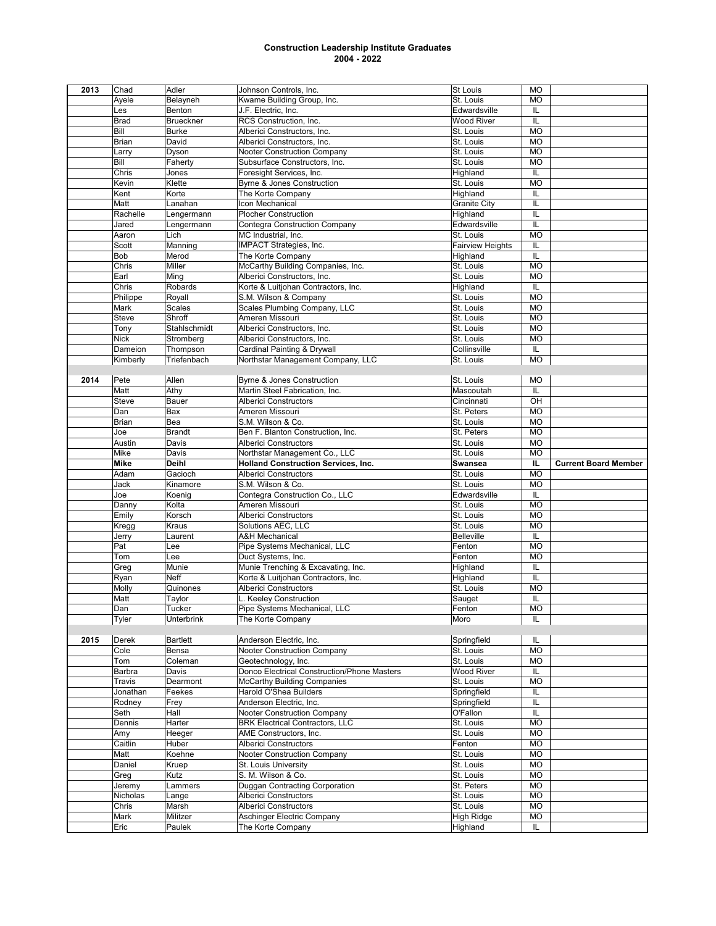| 2013 | Chad         | Adler              | Johnson Controls, Inc.                          | <b>St Louis</b>         | <b>MO</b> |                             |
|------|--------------|--------------------|-------------------------------------------------|-------------------------|-----------|-----------------------------|
|      | Ayele        | Belayneh           | Kwame Building Group, Inc.                      | St. Louis               | <b>MO</b> |                             |
|      | Les          | Benton             | J.F. Electric, Inc.                             | Edwardsville            | IL        |                             |
|      | <b>Brad</b>  | <b>Brueckner</b>   | RCS Construction, Inc.                          | <b>Wood River</b>       | IL        |                             |
|      | Bill         | <b>Burke</b>       | Alberici Constructors, Inc.                     | St. Louis               | <b>MO</b> |                             |
|      | <b>Brian</b> | David              | Alberici Constructors, Inc.                     | St. Louis               | <b>MO</b> |                             |
|      | Larry        | Dyson              | Nooter Construction Company                     | St. Louis               | <b>MO</b> |                             |
|      |              |                    |                                                 |                         |           |                             |
|      | Bill         | Faherty            | Subsurface Constructors, Inc.                   | St. Louis               | <b>MO</b> |                             |
|      | Chris        | Jones              | Foresight Services, Inc.                        | Highland                | IL        |                             |
|      | Kevin        | Klette             | <b>Byrne &amp; Jones Construction</b>           | St. Louis               | <b>MO</b> |                             |
|      | Kent         | Korte              | The Korte Company                               | Highland                | IL        |                             |
|      | Matt         | Lanahan            | Icon Mechanical                                 | <b>Granite City</b>     | IL        |                             |
|      | Rachelle     | Lengermann         | <b>Plocher Construction</b>                     | Highland                | IL        |                             |
|      | Jared        | Lengermann         | <b>Contegra Construction Company</b>            | Edwardsville            | IL        |                             |
|      | Aaron        | Lich               | MC Industrial, Inc.                             | St. Louis               | <b>MO</b> |                             |
|      | Scott        | Manning            | IMPACT Strategies, Inc.                         | <b>Fairview Heights</b> | IL        |                             |
|      | <b>Bob</b>   | Merod              | The Korte Company                               | Highland                | IL        |                             |
|      | Chris        | Miller             |                                                 | St. Louis               | <b>MO</b> |                             |
|      |              |                    | McCarthy Building Companies, Inc.               |                         |           |                             |
|      | Earl         | Ming               | Alberici Constructors, Inc.                     | St. Louis               | <b>MO</b> |                             |
|      | Chris        | Robards            | Korte & Luitjohan Contractors, Inc.             | Highland                | IL        |                             |
|      | Philippe     | Royall             | S.M. Wilson & Company                           | St. Louis               | <b>MO</b> |                             |
|      | Mark         | Scales             | Scales Plumbing Company, LLC                    | St. Louis               | <b>MO</b> |                             |
|      | Steve        | Shroff             | Ameren Missouri                                 | St. Louis               | <b>MO</b> |                             |
|      | Tony         | Stahlschmidt       | Alberici Constructors, Inc.                     | St. Louis               | <b>MO</b> |                             |
|      | <b>Nick</b>  | Stromberg          | Alberici Constructors, Inc.                     | St. Louis               | <b>MO</b> |                             |
|      | Dameion      | Thompson           | Cardinal Painting & Drywall                     | Collinsville            | IL        |                             |
|      | Kimberly     | Triefenbach        | Northstar Management Company, LLC               | St. Louis               | <b>MO</b> |                             |
|      |              |                    |                                                 |                         |           |                             |
|      |              |                    |                                                 |                         |           |                             |
| 2014 | Pete         | Allen              | <b>Byrne &amp; Jones Construction</b>           | St. Louis               | МO        |                             |
|      | Matt         | Athy               | Martin Steel Fabrication, Inc.                  | Mascoutah               | IL        |                             |
|      | Steve        | Bauer              | <b>Alberici Constructors</b>                    | Cincinnati              | OH        |                             |
|      | Dan          | Bax                | Ameren Missouri                                 | St. Peters              | <b>MO</b> |                             |
|      | <b>Brian</b> | Bea                | S.M. Wilson & Co.                               | St. Louis               | <b>MO</b> |                             |
|      | Joe          | <b>Brandt</b>      | Ben F. Blanton Construction, Inc.               | St. Peters              | <b>MO</b> |                             |
|      | Austin       | Davis              | <b>Alberici Constructors</b>                    | St. Louis               | <b>MO</b> |                             |
|      | Mike         | Davis              | Northstar Management Co., LLC                   | St. Louis               | <b>MO</b> |                             |
|      |              |                    |                                                 |                         |           |                             |
|      |              |                    |                                                 |                         |           |                             |
|      | <b>Mike</b>  | <b>Deihl</b>       | <b>Holland Construction Services, Inc.</b>      | <b>Swansea</b>          | IL.       | <b>Current Board Member</b> |
|      | Adam         | Gacioch            | <b>Alberici Constructors</b>                    | St. Louis               | <b>MO</b> |                             |
|      | Jack         | Kinamore           | S.M. Wilson & Co.                               | St. Louis               | <b>MO</b> |                             |
|      | Joe          | Koenig             | Contegra Construction Co., LLC                  | Edwardsville            | IL        |                             |
|      | Danny        | Kolta              | Ameren Missouri                                 | St. Louis               | <b>MO</b> |                             |
|      | Emily        | Korsch             | <b>Alberici Constructors</b>                    | St. Louis               | <b>MO</b> |                             |
|      | Kregg        | Kraus              | Solutions AEC, LLC                              | St. Louis               | <b>MO</b> |                             |
|      | Jerry        | Laurent            | <b>A&amp;H Mechanical</b>                       | <b>Belleville</b>       | IL        |                             |
|      | Pat          | Lee                | Pipe Systems Mechanical, LLC                    | Fenton                  | <b>MO</b> |                             |
|      |              | Lee                |                                                 | Fenton                  | <b>MO</b> |                             |
|      | Tom          |                    | Duct Systems, Inc.                              |                         |           |                             |
|      | Greg         | Munie              | Munie Trenching & Excavating, Inc.              | Highland                | IL        |                             |
|      | Ryan         | <b>Neff</b>        | Korte & Luitjohan Contractors, Inc.             | Highland                | IL        |                             |
|      | Molly        | Quinones           | <b>Alberici Constructors</b>                    | St. Louis               | <b>MO</b> |                             |
|      | Matt         | Taylor             | L. Keeley Construction                          | Sauget                  | IL        |                             |
|      | Dan          | Tucker             | Pipe Systems Mechanical, LLC                    | Fenton                  | <b>MO</b> |                             |
|      | Tyler        | <b>Unterbrink</b>  | The Korte Company                               | Moro                    | IL        |                             |
|      |              |                    |                                                 |                         |           |                             |
| 2015 | Derek        | <b>Bartlett</b>    | Anderson Electric, Inc.                         | Springfield             | IL        |                             |
|      | Cole         | Bensa              | Nooter Construction Company                     | St. Louis               | <b>MO</b> |                             |
|      | Tom          | Coleman            | Geotechnology, Inc.                             | St. Louis               | МO        |                             |
|      | Barbra       | Davis              | Donco Electrical Construction/Phone Masters     | Wood River              | IL        |                             |
|      | Travis       | Dearmont           |                                                 | St. Louis               | <b>MO</b> |                             |
|      |              |                    | <b>McCarthy Building Companies</b>              |                         |           |                             |
|      | Jonathan     | Feekes             | Harold O'Shea Builders                          | Springfield             | IL        |                             |
|      | Rodney       | Frey               | Anderson Electric, Inc.                         | Springfield             | IL        |                             |
|      | Seth         | Hall               | Nooter Construction Company                     | O'Fallon                | IL        |                             |
|      | Dennis       | Harter             | <b>BRK Electrical Contractors, LLC</b>          | St. Louis               | MO        |                             |
|      | Amy          | Heeger             | AME Constructors, Inc.                          | St. Louis               | <b>MO</b> |                             |
|      | Caitlin      | Huber              | <b>Alberici Constructors</b>                    | Fenton                  | MO        |                             |
|      | Matt         | Koehne             | Nooter Construction Company                     | St. Louis               | MO        |                             |
|      | Daniel       | Kruep              | St. Louis University                            | St. Louis               | <b>MO</b> |                             |
|      | Greg         | Kutz               | S. M. Wilson & Co.                              | St. Louis               | MO        |                             |
|      | Jeremy       | Lammers            | <b>Duggan Contracting Corporation</b>           | St. Peters              | МO        |                             |
|      | Nicholas     |                    | Alberici Constructors                           |                         |           |                             |
|      |              | Lange              |                                                 | St. Louis               | MO        |                             |
|      | Chris        | Marsh              | Alberici Constructors                           | St. Louis               | MO        |                             |
|      | Mark<br>Eric | Militzer<br>Paulek | Aschinger Electric Company<br>The Korte Company | High Ridge<br>Highland  | MO<br>IL  |                             |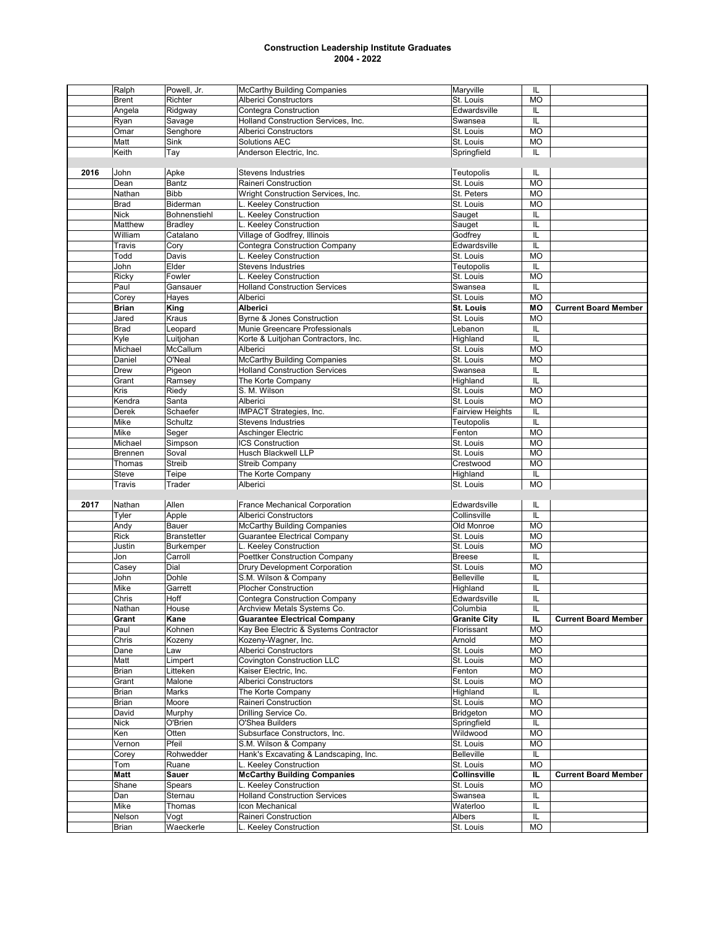|      | Ralph           | Powell, Jr.        | <b>McCarthy Building Companies</b>             | Maryville               | IL                      |                             |
|------|-----------------|--------------------|------------------------------------------------|-------------------------|-------------------------|-----------------------------|
|      | <b>Brent</b>    | Richter            | <b>Alberici Constructors</b>                   | St. Louis               | <b>MO</b>               |                             |
|      | Angela          | Ridgway            | Contegra Construction                          | Edwardsville            | IL                      |                             |
|      |                 |                    | <b>Holland Construction Services, Inc.</b>     |                         |                         |                             |
|      | Ryan            | Savage             |                                                | Swansea                 | IL                      |                             |
|      | Omar            | Senghore           | <b>Alberici Constructors</b>                   | St. Louis               | <b>MO</b>               |                             |
|      | Matt            | Sink               | Solutions AEC                                  | St. Louis               | <b>MO</b>               |                             |
|      | Keith           | Tay                | Anderson Electric, Inc.                        | Springfield             | IL                      |                             |
|      |                 |                    |                                                |                         |                         |                             |
| 2016 | John            | Apke               |                                                |                         |                         |                             |
|      |                 |                    | <b>Stevens Industries</b>                      | Teutopolis              | IL                      |                             |
|      | Dean            | <b>Bantz</b>       | <b>Raineri Construction</b>                    | St. Louis               | <b>MO</b>               |                             |
|      | Nathan          | <b>Bibb</b>        | Wright Construction Services, Inc.             | St. Peters              | <b>MO</b>               |                             |
|      | Brad            | Biderman           | L. Keeley Construction                         | St. Louis               | <b>MO</b>               |                             |
|      | <b>Nick</b>     | Bohnenstiehl       | L. Keeley Construction                         | Sauget                  | IL                      |                             |
|      | Matthew         | <b>Bradley</b>     | L. Keeley Construction                         | Sauget                  | IL                      |                             |
|      |                 |                    |                                                |                         |                         |                             |
|      | William         | Catalano           | Village of Godfrey, Illinois                   | Godfrey                 | IL                      |                             |
|      | Travis          | Cory               | Contegra Construction Company                  | Edwardsville            | IL                      |                             |
|      | Todd            | Davis              | L. Keeley Construction                         | St. Louis               | <b>MO</b>               |                             |
|      | John            | Elder              | <b>Stevens Industries</b>                      | Teutopolis              | IL                      |                             |
|      | Ricky           | Fowler             | L. Keeley Construction                         | St. Louis               | <b>MO</b>               |                             |
|      |                 |                    |                                                |                         |                         |                             |
|      | Paul            | Gansauer           | <b>Holland Construction Services</b>           | Swansea                 | IL                      |                             |
|      | Corey           | Hayes              | Alberici                                       | St. Louis               | <b>MO</b>               |                             |
|      | <b>Brian</b>    | King               | <b>Alberici</b>                                | <b>St. Louis</b>        | <b>MO</b>               | <b>Current Board Member</b> |
|      | Jared           | Kraus              | <b>Byrne &amp; Jones Construction</b>          | St. Louis               | <b>MO</b>               |                             |
|      |                 |                    |                                                |                         |                         |                             |
|      | Brad            | Leopard            | Munie Greencare Professionals                  | Lebanon                 | IL                      |                             |
|      | Kyle            | Luitjohan          | Korte & Luitjohan Contractors, Inc.            | Highland                | IL                      |                             |
|      | Michael         | McCallum           | Alberici                                       | St. Louis               | <b>MO</b>               |                             |
|      | Daniel          | O'Neal             | <b>McCarthy Building Companies</b>             | St. Louis               | <b>MO</b>               |                             |
|      | Drew            | Pigeon             | <b>Holland Construction Services</b>           | Swansea                 | IL                      |                             |
|      |                 |                    |                                                |                         |                         |                             |
|      | Grant           | Ramsey             | The Korte Company                              | Highland                | IL                      |                             |
|      | Kris            | Riedy              | S. M. Wilson                                   | St. Louis               | <b>MO</b>               |                             |
|      | Kendra          | Santa              | Alberici                                       | St. Louis               | <b>MO</b>               |                             |
|      | Derek           | Schaefer           | IMPACT Strategies, Inc.                        | <b>Fairview Heights</b> | IL                      |                             |
|      |                 |                    |                                                |                         |                         |                             |
|      | Mike            | Schultz            | <b>Stevens Industries</b>                      | Teutopolis              | IL                      |                             |
|      | Mike            | Seger              | <b>Aschinger Electric</b>                      | Fenton                  | <b>MO</b>               |                             |
|      | Michael         | Simpson            | <b>ICS Construction</b>                        | St. Louis               | <b>MO</b>               |                             |
|      | Brennen         | Soval              | Husch Blackwell LLP                            | St. Louis               | <b>MO</b>               |                             |
|      | Thomas          | Streib             | <b>Streib Company</b>                          | Crestwood               | <b>MO</b>               |                             |
|      |                 |                    |                                                |                         |                         |                             |
|      | Steve           | Teipe              | The Korte Company                              | Highland                | IL                      |                             |
|      | Travis          | Trader             | Alberici                                       | St. Louis               | <b>MO</b>               |                             |
|      |                 |                    |                                                |                         |                         |                             |
| 2017 | Nathan          | Allen              | France Mechanical Corporation                  | Edwardsville            | IL                      |                             |
|      | Tyler           | Apple              | <b>Alberici Constructors</b>                   | Collinsville            | IL                      |                             |
|      |                 |                    |                                                |                         |                         |                             |
|      | Andy            |                    |                                                |                         |                         |                             |
|      |                 | Bauer              | <b>McCarthy Building Companies</b>             | Old Monroe              | <b>MO</b>               |                             |
|      | Rick            | <b>Branstetter</b> | <b>Guarantee Electrical Company</b>            | St. Louis               | <b>MO</b>               |                             |
|      | Justin          | <b>Burkemper</b>   | L. Keeley Construction                         | St. Louis               | <b>MO</b>               |                             |
|      |                 |                    |                                                |                         |                         |                             |
|      | Jon             | Carroll            | <b>Poettker Construction Company</b>           | <b>Breese</b>           | IL                      |                             |
|      | Casey           | Dial               | <b>Drury Development Corporation</b>           | St. Louis               | <b>MO</b>               |                             |
|      | John            | Dohle              | S.M. Wilson & Company                          | <b>Belleville</b>       | IL                      |                             |
|      | Mike            | Garrett            | <b>Plocher Construction</b>                    | Highland                | IL                      |                             |
|      | Chris           | Hoff               | <b>Contegra Construction Company</b>           | Edwardsville            | IL                      |                             |
|      |                 |                    |                                                | Columbia                | $\overline{\mathsf{L}}$ |                             |
|      | Nathan          | House              | Archview Metals Systems Co.                    |                         |                         |                             |
|      | Grant           | Kane               | <b>Guarantee Electrical Company</b>            | <b>Granite City</b>     | IL                      | <b>Current Board Member</b> |
|      | Paul            | Kohnen             | Kay Bee Electric & Systems Contractor          | Florissant              | MO                      |                             |
|      | Chris           | Kozeny             | Kozeny-Wagner, Inc.                            | Arnold                  | MO                      |                             |
|      | Dane            | Law                | <b>Alberici Constructors</b>                   | St. Louis               | MO                      |                             |
|      |                 |                    |                                                |                         |                         |                             |
|      | Matt            | Limpert            | <b>Covington Construction LLC</b>              | St. Louis               | MO                      |                             |
|      | Brian           | Litteken           | Kaiser Electric, Inc.                          | Fenton                  | <b>MO</b>               |                             |
|      | Grant           | Malone             | <b>Alberici Constructors</b>                   | St. Louis               | <b>MO</b>               |                             |
|      | Brian           | Marks              | The Korte Company                              | Highland                | IL                      |                             |
|      | Brian           | Moore              | Raineri Construction                           | St. Louis               | <b>MO</b>               |                             |
|      |                 |                    |                                                |                         |                         |                             |
|      | David           | Murphy             | Drilling Service Co.                           | Bridgeton               | <b>MO</b>               |                             |
|      | Nick            | O'Brien            | O'Shea Builders                                | Springfield             | IL                      |                             |
|      | Ken             | Otten              | Subsurface Constructors, Inc.                  | Wildwood                | <b>MO</b>               |                             |
|      | Vernon          | Pfeil              | S.M. Wilson & Company                          | St. Louis               | МO                      |                             |
|      | Corey           | Rohwedder          | Hank's Excavating & Landscaping, Inc.          | <b>Belleville</b>       | IL                      |                             |
|      |                 |                    |                                                |                         |                         |                             |
|      | Tom             | Ruane              | L. Keeley Construction                         | St. Louis               | MO                      |                             |
|      | Matt            | Sauer              | <b>McCarthy Building Companies</b>             | Collinsville            | IL.                     | <b>Current Board Member</b> |
|      | Shane           | Spears             | L. Keeley Construction                         | St. Louis               | <b>MO</b>               |                             |
|      | Dan             | Sternau            | <b>Holland Construction Services</b>           | Swansea                 | IL                      |                             |
|      | Mike            | Thomas             | Icon Mechanical                                | Waterloo                | IL                      |                             |
|      |                 |                    |                                                |                         |                         |                             |
|      | Nelson<br>Brian | Vogt<br>Waeckerle  | Raineri Construction<br>L. Keeley Construction | Albers<br>St. Louis     | IL<br>MO                |                             |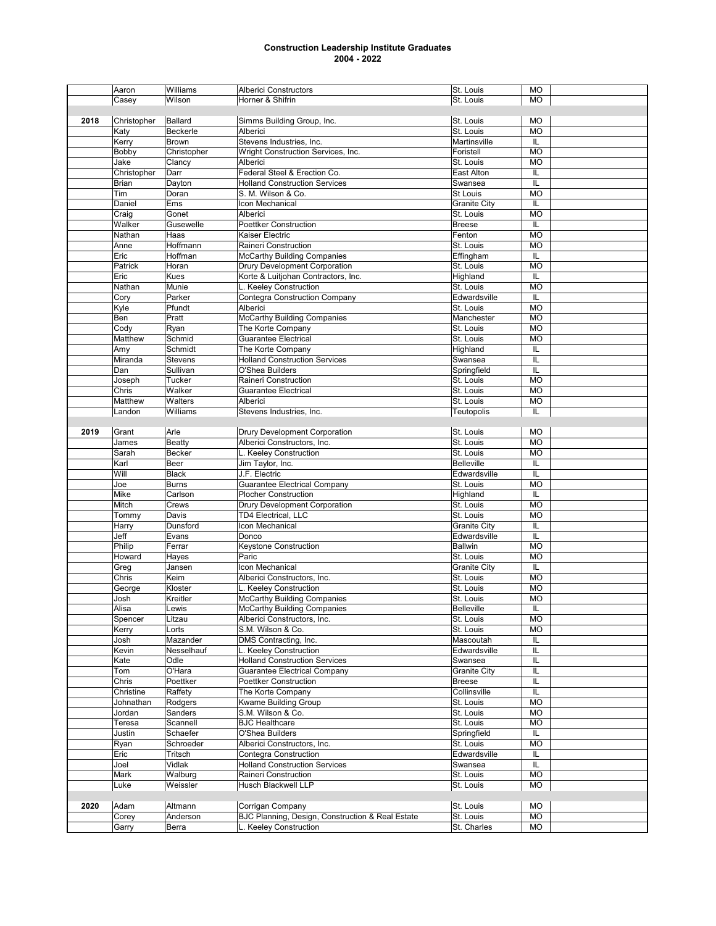|      | Aaron       | Williams       | <b>Alberici Constructors</b>                     | St. Louis           | <b>MO</b> |  |
|------|-------------|----------------|--------------------------------------------------|---------------------|-----------|--|
|      | Casey       | Wilson         | Horner & Shifrin                                 | St. Louis           | <b>MO</b> |  |
|      |             |                |                                                  |                     |           |  |
| 2018 | Christopher | Ballard        | Simms Building Group, Inc.                       | St. Louis           | MO        |  |
|      | Katy        | Beckerle       | Alberici                                         | St. Louis           | <b>MO</b> |  |
|      | Kerry       | <b>Brown</b>   | Stevens Industries, Inc.                         | Martinsville        | IL        |  |
|      | Bobby       | Christopher    | Wright Construction Services, Inc.               | Foristell           | <b>MO</b> |  |
|      | Jake        | Clancy         | Alberici                                         | St. Louis           | <b>MO</b> |  |
|      | Christopher | Darr           | Federal Steel & Erection Co.                     | East Alton          | IL        |  |
|      | Brian       |                | <b>Holland Construction Services</b>             | Swansea             | IL        |  |
|      |             | Dayton         |                                                  |                     |           |  |
|      | Tim         | Doran          | S. M. Wilson & Co.                               | <b>St Louis</b>     | <b>MO</b> |  |
|      | Daniel      | Ems            | Icon Mechanical                                  | <b>Granite City</b> | IL        |  |
|      | Craig       | Gonet          | Alberici                                         | St. Louis           | <b>MO</b> |  |
|      | Walker      | Gusewelle      | <b>Poettker Construction</b>                     | <b>Breese</b>       | IL        |  |
|      | Nathan      | Haas           | Kaiser Electric                                  | Fenton              | <b>MO</b> |  |
|      | Anne        | Hoffmann       | Raineri Construction                             | St. Louis           | <b>MO</b> |  |
|      | Eric        | Hoffman        | <b>McCarthy Building Companies</b>               | Effingham           | IL        |  |
|      | Patrick     | Horan          | <b>Drury Development Corporation</b>             | St. Louis           | <b>MO</b> |  |
|      | Eric        | Kues           | Korte & Luitjohan Contractors, Inc.              | Highland            | IL        |  |
|      | Nathan      | Munie          | L. Keeley Construction                           | St. Louis           | <b>MO</b> |  |
|      | Cory        | Parker         | <b>Contegra Construction Company</b>             | Edwardsville        | IL        |  |
|      | Kyle        | Pfundt         | Alberici                                         | St. Louis           | <b>MO</b> |  |
|      | Ben         | Pratt          |                                                  |                     | <b>MO</b> |  |
|      |             |                | <b>McCarthy Building Companies</b>               | Manchester          |           |  |
|      | Cody        | Ryan           | The Korte Company                                | St. Louis           | <b>MO</b> |  |
|      | Matthew     | Schmid         | <b>Guarantee Electrical</b>                      | St. Louis           | <b>MO</b> |  |
|      | Amy         | Schmidt        | The Korte Company                                | Highland            | IL        |  |
|      | Miranda     | <b>Stevens</b> | <b>Holland Construction Services</b>             | Swansea             | IL        |  |
|      | Dan         | Sullivan       | O'Shea Builders                                  | Springfield         | IL        |  |
|      | Joseph      | <b>Tucker</b>  | Raineri Construction                             | St. Louis           | <b>MO</b> |  |
|      | Chris       | Walker         | <b>Guarantee Electrical</b>                      | St. Louis           | <b>MO</b> |  |
|      | Matthew     | Walters        | Alberici                                         | St. Louis           | MO        |  |
|      | Landon      | Williams       | Stevens Industries, Inc.                         | Teutopolis          | IL        |  |
|      |             |                |                                                  |                     |           |  |
| 2019 | Grant       | Arle           | Drury Development Corporation                    | St. Louis           | <b>MO</b> |  |
|      |             |                |                                                  | St. Louis           | <b>MO</b> |  |
|      | James       | Beatty         | Alberici Constructors, Inc.                      |                     |           |  |
|      | Sarah       | Becker         | L. Keeley Construction                           | St. Louis           | <b>MO</b> |  |
|      | Karl        | Beer           | Jim Taylor, Inc.                                 | <b>Belleville</b>   | IL        |  |
|      | Will        | <b>Black</b>   | J.F. Electric                                    | Edwardsville        | IL        |  |
|      | Joe         | <b>Burns</b>   | <b>Guarantee Electrical Company</b>              | St. Louis           | MO        |  |
|      | Mike        | Carlson        | <b>Plocher Construction</b>                      | Highland            | IL        |  |
|      | Mitch       | Crews          | Drury Development Corporation                    | St. Louis           | <b>MO</b> |  |
|      | Tommy       | Davis          | <b>TD4 Electrical, LLC</b>                       | St. Louis           | <b>MO</b> |  |
|      | Harry       | Dunsford       | Icon Mechanical                                  | <b>Granite City</b> | IL        |  |
|      | Jeff        | Evans          | Donco                                            | Edwardsville        | IL        |  |
|      | Philip      | Ferrar         | Keystone Construction                            | <b>Ballwin</b>      | <b>MO</b> |  |
|      | Howard      | Hayes          | Paric                                            | St. Louis           | <b>MO</b> |  |
|      |             | Jansen         | Icon Mechanical                                  | <b>Granite City</b> | IL        |  |
|      | Greg        |                | Alberici Constructors, Inc.                      |                     |           |  |
|      | Chris       | Keim           |                                                  | St. Louis           | <b>MO</b> |  |
|      | George      | Kloster        | L. Keeley Construction                           | St. Louis           | <b>MO</b> |  |
|      | Josh        | Kreitler       | <b>McCarthy Building Companies</b>               | St. Louis           | <b>MO</b> |  |
|      | Alisa       | Lewis          | <b>McCarthy Building Companies</b>               | Belleville          | IL        |  |
|      | Spencer     | Litzau         | Alberici Constructors, Inc.                      | St. Louis           | <b>MO</b> |  |
|      | Kerry       | Lorts          | S.M. Wilson & Co.                                | St. Louis           | MO        |  |
|      | Josh        | Mazander       | DMS Contracting, Inc.                            | Mascoutah           | IL        |  |
|      | Kevin       | Nesselhauf     | L. Keeley Construction                           | Edwardsville        | IL        |  |
|      | Kate        | Odle           | <b>Holland Construction Services</b>             | Swansea             | IL        |  |
|      | Tom         | O'Hara         | <b>Guarantee Electrical Company</b>              | <b>Granite City</b> | IL        |  |
|      | Chris       | Poettker       | Poettker Construction                            | Breese              | IL        |  |
|      | Christine   | Raffety        | The Korte Company                                | Collinsville        | IL        |  |
|      |             |                |                                                  | St. Louis           | <b>MO</b> |  |
|      | Johnathan   | Rodgers        | Kwame Building Group                             |                     |           |  |
|      | Jordan      | Sanders        | S.M. Wilson & Co.                                | St. Louis           | <b>MO</b> |  |
|      | Teresa      | Scannell       | <b>BJC Healthcare</b>                            | St. Louis           | <b>MO</b> |  |
|      | Justin      | Schaefer       | O'Shea Builders                                  | Springfield         | IL        |  |
|      | Ryan        | Schroeder      | Alberici Constructors, Inc.                      | St. Louis           | МO        |  |
|      | Eric        | Tritsch        | Contegra Construction                            | Edwardsville        | IL        |  |
|      | Joel        | Vidlak         | <b>Holland Construction Services</b>             | Swansea             | IL        |  |
|      | Mark        | Walburg        | Raineri Construction                             | St. Louis           | <b>MO</b> |  |
|      | Luke        | Weissler       | Husch Blackwell LLP                              | St. Louis           | <b>MO</b> |  |
|      |             |                |                                                  |                     |           |  |
| 2020 | Adam        | Altmann        | Corrigan Company                                 | St. Louis           | МO        |  |
|      |             |                | BJC Planning, Design, Construction & Real Estate |                     |           |  |
|      | Corey       | Anderson       |                                                  | St. Louis           | <b>MO</b> |  |
|      | Garry       | Berra          | L. Keeley Construction                           | St. Charles         | МO        |  |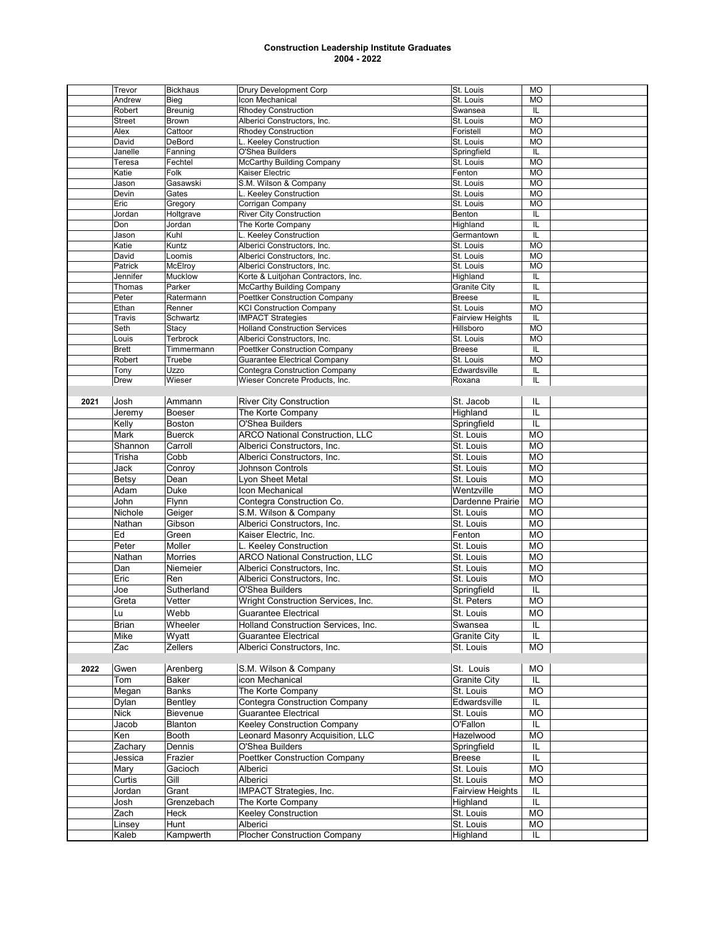|      | Trevor        | <b>Bickhaus</b> | <b>Drury Development Corp</b>          | St. Louis               | <b>MO</b>     |  |
|------|---------------|-----------------|----------------------------------------|-------------------------|---------------|--|
|      | Andrew        | Bieg            | Icon Mechanical                        | St. Louis               | <b>MO</b>     |  |
|      | Robert        | Breunig         | <b>Rhodey Construction</b>             | Swansea                 | IL            |  |
|      | <b>Street</b> | <b>Brown</b>    | Alberici Constructors, Inc.            | St. Louis               | <b>MO</b>     |  |
|      | Alex          | Cattoor         | <b>Rhodey Construction</b>             | Foristell               | <b>MO</b>     |  |
|      | David         | DeBord          | L. Keeley Construction                 | St. Louis               | <b>MO</b>     |  |
|      | Janelle       | Fanning         | O'Shea Builders                        | Springfield             | IL            |  |
|      | Teresa        | Fechtel         | <b>McCarthy Building Company</b>       | St. Louis               | <b>MO</b>     |  |
|      | Katie         | Folk            | Kaiser Electric                        | Fenton                  | <b>MO</b>     |  |
|      | Jason         | Gasawski        | S.M. Wilson & Company                  | St. Louis               | <b>MO</b>     |  |
|      | Devin         | Gates           | L. Keeley Construction                 | St. Louis               | <b>MO</b>     |  |
|      | Eric          | Gregory         | Corrigan Company                       | St. Louis               | <b>MO</b>     |  |
|      | Jordan        | Holtgrave       | <b>River City Construction</b>         | Benton                  | IL            |  |
|      | Don           | Jordan          | The Korte Company                      | Highland                | IL            |  |
|      | Jason         | Kuhl            | L. Keeley Construction                 | Germantown              | $\mathsf{IL}$ |  |
|      | Katie         | Kuntz           | Alberici Constructors, Inc.            | St. Louis               | <b>MO</b>     |  |
|      | David         | Loomis          | Alberici Constructors, Inc.            | St. Louis               | <b>MO</b>     |  |
|      | Patrick       | McElroy         | Alberici Constructors, Inc.            | St. Louis               | <b>MO</b>     |  |
|      | Jennifer      | Mucklow         | Korte & Luitjohan Contractors, Inc.    | Highland                | IL            |  |
|      | Thomas        | Parker          | <b>McCarthy Building Company</b>       | <b>Granite City</b>     | IL            |  |
|      | Peter         | Ratermann       | <b>Poettker Construction Company</b>   | <b>Breese</b>           | IL            |  |
|      | Ethan         | Renner          | <b>KCI Construction Company</b>        | St. Louis               | <b>MO</b>     |  |
|      | Travis        | Schwartz        | <b>IMPACT Strategies</b>               | <b>Fairview Heights</b> | IL            |  |
|      | Seth          | Stacy           | <b>Holland Construction Services</b>   | Hillsboro               | <b>MO</b>     |  |
|      | Louis         | Terbrock        | Alberici Constructors, Inc.            | St. Louis               | <b>MO</b>     |  |
|      | <b>Brett</b>  | Timmermann      | <b>Poettker Construction Company</b>   | <b>Breese</b>           | IL            |  |
|      | Robert        | Truebe          | <b>Guarantee Electrical Company</b>    | St. Louis               | <b>MO</b>     |  |
|      | Tony          | Uzzo            | Contegra Construction Company          | Edwardsville            | IL            |  |
|      | Drew          | Wieser          | Wieser Concrete Products, Inc.         | Roxana                  | IL            |  |
|      |               |                 |                                        |                         |               |  |
|      |               |                 |                                        |                         | IL            |  |
| 2021 | Josh          | Ammann          | <b>River City Construction</b>         | St. Jacob               |               |  |
|      | Jeremy        | <b>Boeser</b>   | The Korte Company                      | Highland                | IL            |  |
|      | Kelly         | <b>Boston</b>   | O'Shea Builders                        | Springfield             | IL            |  |
|      | Mark          | <b>Buerck</b>   | <b>ARCO National Construction, LLC</b> | St. Louis               | <b>MO</b>     |  |
|      | Shannon       | Carroll         | Alberici Constructors, Inc.            | St. Louis               | <b>MO</b>     |  |
|      | Trisha        | Cobb            | Alberici Constructors, Inc.            | St. Louis               | <b>MO</b>     |  |
|      | Jack          | Conroy          | Johnson Controls                       | St. Louis               | <b>MO</b>     |  |
|      | Betsy         | Dean            | Lyon Sheet Metal                       | St. Louis               | <b>MO</b>     |  |
|      | Adam          | Duke            | Icon Mechanical                        | Wentzville              | <b>MO</b>     |  |
|      | John          | Flynn           | Contegra Construction Co.              | Dardenne Prairie        | <b>MO</b>     |  |
|      | Nichole       | Geiger          | S.M. Wilson & Company                  | St. Louis               | <b>MO</b>     |  |
|      |               |                 |                                        |                         |               |  |
|      | Nathan        | Gibson          | Alberici Constructors, Inc.            | St. Louis               | <b>MO</b>     |  |
|      | Ed            | Green           | Kaiser Electric, Inc.                  | Fenton                  | <b>MO</b>     |  |
|      | Peter         | Moller          | L. Keeley Construction                 | St. Louis               | <b>MO</b>     |  |
|      | Nathan        | <b>Morries</b>  | <b>ARCO National Construction, LLC</b> | St. Louis               | <b>MO</b>     |  |
|      | Dan           | Niemeier        | Alberici Constructors, Inc.            | St. Louis               | <b>MO</b>     |  |
|      | Eric          | Ren             | Alberici Constructors, Inc.            | St. Louis               | <b>MO</b>     |  |
|      | Joe           | Sutherland      | O'Shea Builders                        | Springfield             | IL            |  |
|      | Greta         | Vetter          | Wright Construction Services, Inc.     | St. Peters              | <b>MO</b>     |  |
|      | Lu            | Webb            | Guarantee Electrical                   | St. Louis               | MO            |  |
|      |               |                 |                                        |                         |               |  |
|      | Brian         | Wheeler         | Holland Construction Services, Inc.    | Swansea                 | IL            |  |
|      | Mike          | Wyatt           | <b>Guarantee Electrical</b>            | <b>Granite City</b>     | IL            |  |
|      | Zac           | Zellers         | Alberici Constructors, Inc.            | St. Louis               | MO            |  |
|      |               |                 |                                        |                         |               |  |
| 2022 | Gwen          | Arenberg        | S.M. Wilson & Company                  | St. Louis               | MO            |  |
|      | Tom           | Baker           | icon Mechanical                        | <b>Granite City</b>     | IL            |  |
|      | Megan         | Banks           | The Korte Company                      | St. Louis               | MO            |  |
|      | Dylan         | Bentley         | <b>Contegra Construction Company</b>   | Edwardsville            | IL            |  |
|      | Nick          | Bievenue        | <b>Guarantee Electrical</b>            | St. Louis               | MO            |  |
|      | Jacob         | <b>Blanton</b>  | <b>Keeley Construction Company</b>     | O'Fallon                | IL            |  |
|      | Ken           | Booth           | Leonard Masonry Acquisition, LLC       | Hazelwood               | MO            |  |
|      |               |                 |                                        |                         |               |  |
|      | Zachary       | Dennis          | O'Shea Builders                        | Springfield             | IL            |  |
|      | Jessica       | Frazier         | <b>Poettker Construction Company</b>   | <b>Breese</b>           | IL            |  |
|      | Mary          | Gacioch         | Alberici                               | St. Louis               | <b>MO</b>     |  |
|      | Curtis        | Gill            | Alberici                               | St. Louis               | MO            |  |
|      | Jordan        | Grant           | IMPACT Strategies, Inc.                | <b>Fairview Heights</b> | IL            |  |
|      | Josh          | Grenzebach      | The Korte Company                      | Highland                | IL            |  |
|      | Zach          | Heck            | Keeley Construction                    | St. Louis               | <b>MO</b>     |  |
|      | Linsey        | Hunt            | Alberici                               | St. Louis               | MO            |  |
|      |               |                 |                                        |                         |               |  |
|      | Kaleb         | Kampwerth       | <b>Plocher Construction Company</b>    | Highland                | IL            |  |